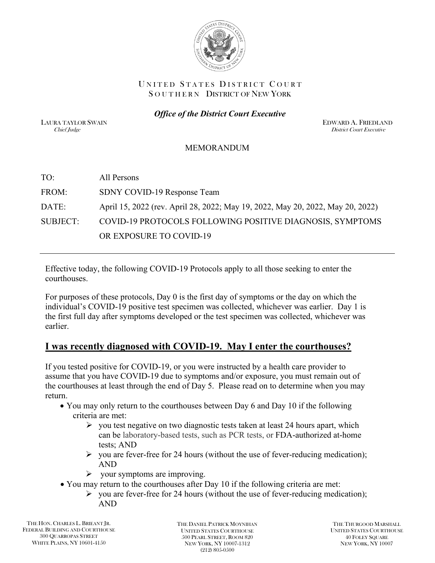

#### UNITED STATES DISTRICT COURT SOUTHERN DISTRICT OF NEW YORK

*Office of the District Court Executive*

LAURA TAYLOR SWAIN EDWARD A. FRIEDLAND Chief Judge District Court Executive

#### MEMORANDUM

| TO:             | All Persons                                                                    |
|-----------------|--------------------------------------------------------------------------------|
| FROM:           | SDNY COVID-19 Response Team                                                    |
| DATE:           | April 15, 2022 (rev. April 28, 2022; May 19, 2022, May 20, 2022, May 20, 2022) |
| <b>SUBJECT:</b> | COVID-19 PROTOCOLS FOLLOWING POSITIVE DIAGNOSIS, SYMPTOMS                      |
|                 | OR EXPOSURE TO COVID-19                                                        |

Effective today, the following COVID-19 Protocols apply to all those seeking to enter the courthouses.

For purposes of these protocols, Day 0 is the first day of symptoms or the day on which the individual's COVID-19 positive test specimen was collected, whichever was earlier. Day 1 is the first full day after symptoms developed or the test specimen was collected, whichever was earlier.

### **I was recently diagnosed with COVID-19. May I enter the courthouses?**

If you tested positive for COVID-19, or you were instructed by a health care provider to assume that you have COVID-19 due to symptoms and/or exposure, you must remain out of the courthouses at least through the end of Day 5. Please read on to determine when you may return.

- You may only return to the courthouses between Day 6 and Day 10 if the following criteria are met:
	- $\triangleright$  you test negative on two diagnostic tests taken at least 24 hours apart, which can be laboratory-based tests, such as PCR tests, or FDA-authorized at-home tests; AND
	- $\triangleright$  you are fever-free for 24 hours (without the use of fever-reducing medication); AND
	- $\triangleright$  your symptoms are improving.
- You may return to the courthouses after Day 10 if the following criteria are met:
	- $\triangleright$  you are fever-free for 24 hours (without the use of fever-reducing medication); AND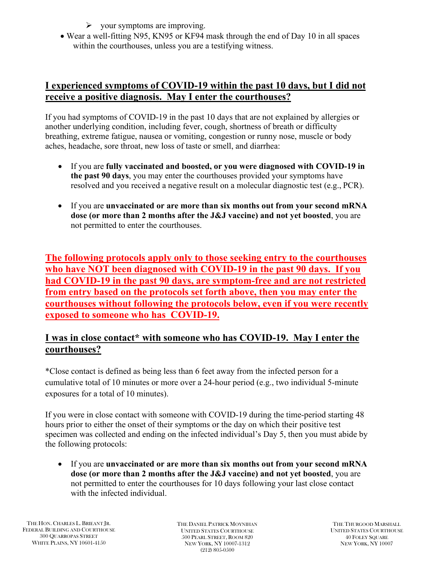- $\triangleright$  your symptoms are improving.
- Wear a well-fitting N95, KN95 or KF94 mask through the end of Day 10 in all spaces within the courthouses, unless you are a testifying witness.

# **I experienced symptoms of COVID-19 within the past 10 days, but I did not receive a positive diagnosis. May I enter the courthouses?**

If you had symptoms of COVID-19 in the past 10 days that are not explained by allergies or another underlying condition, including fever, cough, shortness of breath or difficulty breathing, extreme fatigue, nausea or vomiting, congestion or runny nose, muscle or body aches, headache, sore throat, new loss of taste or smell, and diarrhea:

- If you are **fully vaccinated and boosted, or you were diagnosed with COVID-19 in the past 90 days**, you may enter the courthouses provided your symptoms have resolved and you received a negative result on a molecular diagnostic test (e.g., PCR).
- If you are **unvaccinated or are more than six months out from your second mRNA dose (or more than 2 months after the J&J vaccine) and not yet boosted**, you are not permitted to enter the courthouses.

**The following protocols apply only to those seeking entry to the courthouses who have NOT been diagnosed with COVID-19 in the past 90 days. If you had COVID-19 in the past 90 days, are symptom-free and are not restricted from entry based on the protocols set forth above, then you may enter the courthouses without following the protocols below, even if you were recently exposed to someone who has COVID-19.**

### **I was in close contact\* with someone who has COVID-19. May I enter the courthouses?**

\*Close contact is defined as being less than 6 feet away from the infected person for a cumulative total of 10 minutes or more over a 24-hour period (e.g., two individual 5-minute exposures for a total of 10 minutes).

If you were in close contact with someone with COVID-19 during the time-period starting 48 hours prior to either the onset of their symptoms or the day on which their positive test specimen was collected and ending on the infected individual's Day 5, then you must abide by the following protocols:

• If you are **unvaccinated or are more than six months out from your second mRNA dose (or more than 2 months after the J&J vaccine) and not yet boosted**, you are not permitted to enter the courthouses for 10 days following your last close contact with the infected individual.

THE DANIEL PATRICK MOYNIHAN UNITED STATES COURTHOUSE 500 PEARL STREET, ROOM 820 NEW YORK, NY 10007-1312 (212) 805-0500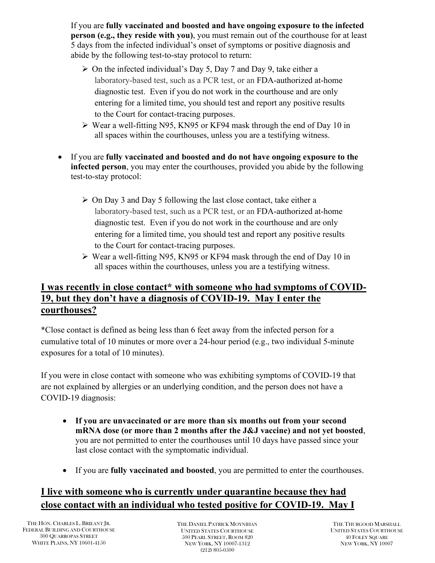If you are **fully vaccinated and boosted and have ongoing exposure to the infected person (e.g., they reside with you)**, you must remain out of the courthouse for at least 5 days from the infected individual's onset of symptoms or positive diagnosis and abide by the following test-to-stay protocol to return:

- $\triangleright$  On the infected individual's Day 5, Day 7 and Day 9, take either a laboratory-based test, such as a PCR test, or an FDA-authorized at-home diagnostic test. Even if you do not work in the courthouse and are only entering for a limited time, you should test and report any positive results to the Court for contact-tracing purposes.
- Wear a well-fitting N95, KN95 or KF94 mask through the end of Day 10 in all spaces within the courthouses, unless you are a testifying witness.
- If you are **fully vaccinated and boosted and do not have ongoing exposure to the infected person**, you may enter the courthouses, provided you abide by the following test-to-stay protocol:
	- $\triangleright$  On Day 3 and Day 5 following the last close contact, take either a laboratory-based test, such as a PCR test, or an FDA-authorized at-home diagnostic test. Even if you do not work in the courthouse and are only entering for a limited time, you should test and report any positive results to the Court for contact-tracing purposes.
	- Wear a well-fitting N95, KN95 or KF94 mask through the end of Day 10 in all spaces within the courthouses, unless you are a testifying witness.

# **I was recently in close contact\* with someone who had symptoms of COVID-19, but they don't have a diagnosis of COVID-19. May I enter the courthouses?**

\*Close contact is defined as being less than 6 feet away from the infected person for a cumulative total of 10 minutes or more over a 24-hour period (e.g., two individual 5-minute exposures for a total of 10 minutes).

If you were in close contact with someone who was exhibiting symptoms of COVID-19 that are not explained by allergies or an underlying condition, and the person does not have a COVID-19 diagnosis:

- **If you are unvaccinated or are more than six months out from your second mRNA dose (or more than 2 months after the J&J vaccine) and not yet boosted**, you are not permitted to enter the courthouses until 10 days have passed since your last close contact with the symptomatic individual.
- If you are **fully vaccinated and boosted**, you are permitted to enter the courthouses.

# **I live with someone who is currently under quarantine because they had close contact with an individual who tested positive for COVID-19. May I**